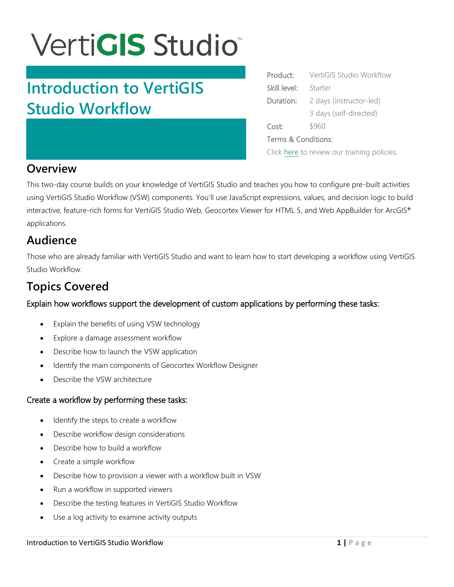# **VertiGIS Studio**

## **Introduction to VertiGIS Studio Workflow**

| Product:                                    | VertiGIS Studio Workflow |
|---------------------------------------------|--------------------------|
| Skill level:                                | Starter                  |
| Duration:                                   | 2 days (instructor-led)  |
|                                             | 3 days (self-directed)   |
| Cost:                                       | \$960                    |
| Terms & Conditions:                         |                          |
| Click here to review our training policies. |                          |

## **Overview**

This two-day course builds on your knowledge of VertiGIS Studio and teaches you how to configure pre-built activities using VertiGIS Studio Workflow (VSW) components. You'll use JavaScript expressions, values, and decision logic to build interactive, feature-rich forms for VertiGIS Studio Web, Geocortex Viewer for HTML 5, and Web AppBuilder for ArcGIS® applications.

### **Audience**

Those who are already familiar with VertiGIS Studio and want to learn how to start developing a workflow using VertiGIS Studio Workflow.

## **Topics Covered**

#### Explain how workflows support the development of custom applications by performing these tasks:

- Explain the benefits of using VSW technology
- Explore a damage assessment workflow
- Describe how to launch the VSW application
- Identify the main components of Geocortex Workflow Designer
- Describe the VSW architecture

#### Create a workflow by performing these tasks:

- Identify the steps to create a workflow
- Describe workflow design considerations
- Describe how to build a workflow
- Create a simple workflow
- Describe how to provision a viewer with a workflow built in VSW
- Run a workflow in supported viewers
- Describe the testing features in VertiGIS Studio Workflow
- Use a log activity to examine activity outputs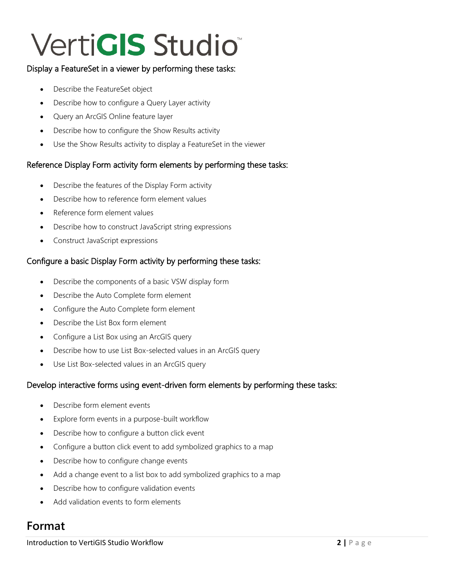# **VertiGIS Studio**

#### Display a FeatureSet in a viewer by performing these tasks:

- Describe the FeatureSet object
- Describe how to configure a Query Layer activity
- Query an ArcGIS Online feature layer
- Describe how to configure the Show Results activity
- Use the Show Results activity to display a FeatureSet in the viewer

#### Reference Display Form activity form elements by performing these tasks:

- Describe the features of the Display Form activity
- Describe how to reference form element values
- Reference form element values
- Describe how to construct JavaScript string expressions
- Construct JavaScript expressions

#### Configure a basic Display Form activity by performing these tasks:

- Describe the components of a basic VSW display form
- Describe the Auto Complete form element
- Configure the Auto Complete form element
- Describe the List Box form element
- Configure a List Box using an ArcGIS query
- Describe how to use List Box-selected values in an ArcGIS query
- Use List Box-selected values in an ArcGIS query

#### Develop interactive forms using event-driven form elements by performing these tasks:

- Describe form element events
- Explore form events in a purpose-built workflow
- Describe how to configure a button click event
- Configure a button click event to add symbolized graphics to a map
- Describe how to configure change events
- Add a change event to a list box to add symbolized graphics to a map
- Describe how to configure validation events
- Add validation events to form elements

### **Format**

**Introduction to VertiGIS Studio Workflow <b>2 1 P** a g e